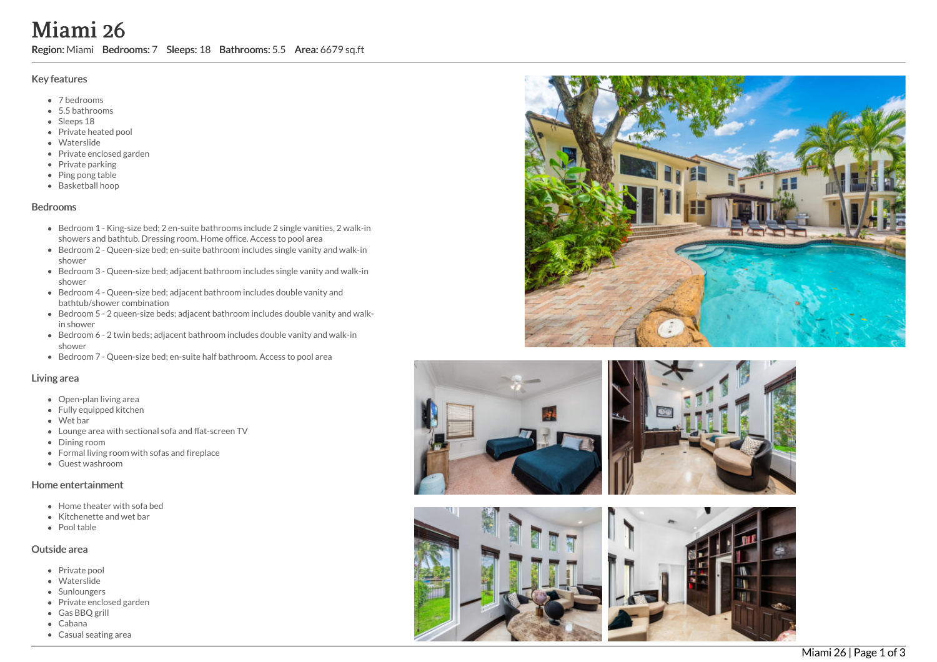# Miami 26

Region: Miami Bedrooms: 7 Sleeps: 18 Bathrooms: 5.5 Area: 6679 sq.ft

### Key features

- 7 b e d r o o m s
- 5.5 b a t h r o o m s
- Sleeps 18
- Private heated pool
- Waterslide
- Private enclosed garden
- Private parking
- Ping pong table
- Basketball hoop

#### **Bedrooms**

- Bedroom 1 King-size bed; 2 en-suite bathrooms include 2 single vanities, 2 walk-in showers and bathtub. Dressing room. Home office. Access to pool area
- Bedroom 2 Queen-size bed; en-suite bathroom includes single vanity and walk-in s h o w e r
- Bedroom 3 Queen-size bed; adjacent bathroom includes single vanity and walk-in s h o w e r
- Bedroom 4 Queen-size bed; adjacent bathroom includes double vanity and bathtub/shower combination
- Bedroom 5 2 queen-size beds; adjacent bathroom includes double vanity and walkin shower
- Bedroom 6 2 twin beds; adjacent bathroom includes double vanity and walk-in shower
- Bedroom 7 Queen-size bed; en-suite half bathroom. Access to pool area

#### Living area

- Open-plan living area
- Fully equipped kitchen
- Wet bar
- Lounge area with sectional sofa and flat-screen TV
- Dining room
- Formal living room with sofas and fireplace
- Guest washroom

#### Home entertainment

- Home theater with sofa bed
- Kitchenette and wet bar
- Pool table

#### Outside area

- Private pool
- Waterslide
- Sunloungers
- Private enclosed garden
- Gas BBQ grill
- Cabana
- Casual seating area







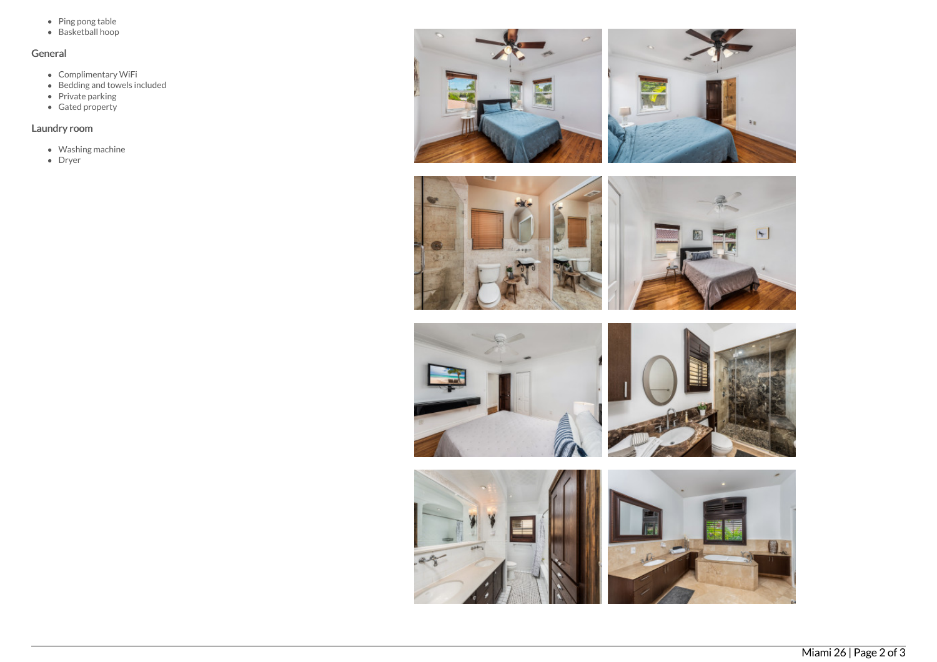- Ping pong table
- Basketball hoop

## General

- Complimentary WiFi
- Bedding and towels included
- Private parking
- Gated property

## Laundry room

- Washing machine
- Dryer